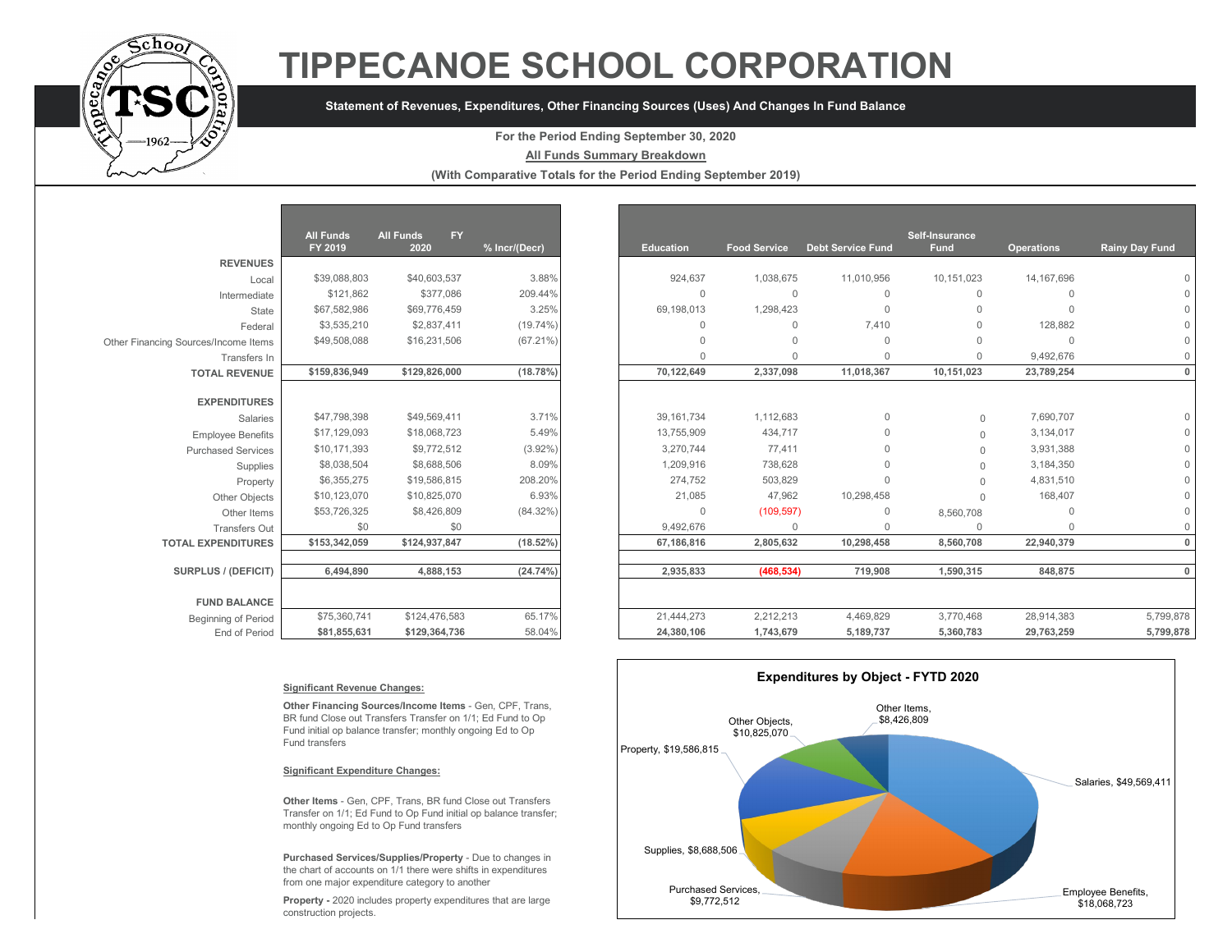

# **TIPPECANOE SCHOOL CORPORATION**

## **Statement of Revenues, Expenditures, Other Financing Sources (Uses) And Changes In Fund Balance**

## **For the Period Ending September 30, 2020**

### **All Funds Summary Breakdown**

**(With Comparative Totals for the Period Ending September 2019)**

|                                      | <b>All Funds</b><br>FY 2019 | <b>All Funds</b><br><b>FY</b><br>2020 | % Incr/(Decr) |
|--------------------------------------|-----------------------------|---------------------------------------|---------------|
| <b>REVENUES</b>                      |                             |                                       |               |
| Local                                | \$39,088,803                | \$40,603,537                          | 3.88%         |
| Intermediate                         | \$121,862                   | \$377,086                             | 209.44%       |
| State                                | \$67,582,986                | \$69,776,459                          | 3.25%         |
| Federal                              | \$3,535,210                 | \$2,837,411                           | $(19.74\%)$   |
| Other Financing Sources/Income Items | \$49,508,088                | \$16,231,506                          | $(67.21\%)$   |
| Transfers In                         |                             |                                       |               |
| <b>TOTAL REVENUE</b>                 | \$159,836,949               | \$129,826,000                         | (18.78%)      |
|                                      |                             |                                       |               |
| <b>EXPENDITURES</b>                  |                             |                                       |               |
| Salaries                             | \$47,798,398                | \$49,569,411                          | 3.71%         |
| <b>Employee Benefits</b>             | \$17,129,093                | \$18,068,723                          | 5.49%         |
| <b>Purchased Services</b>            | \$10,171,393                | \$9,772,512                           | $(3.92\%)$    |
| Supplies                             | \$8,038,504                 | \$8,688,506                           | 8.09%         |
| Property                             | \$6,355,275                 | \$19,586,815                          | 208.20%       |
| Other Objects                        | \$10,123,070                | \$10,825,070                          | 6.93%         |
| Other Items                          | \$53,726,325                | \$8,426,809                           | (84.32%)      |
| <b>Transfers Out</b>                 | \$0                         | \$0                                   |               |
| <b>TOTAL EXPENDITURES</b>            | \$153,342,059               | \$124,937,847                         | $(18.52\%)$   |
|                                      |                             |                                       |               |
| <b>SURPLUS / (DEFICIT)</b>           | 6,494,890                   | 4,888,153                             | $(24.74\%)$   |
|                                      |                             |                                       |               |
| <b>FUND BALANCE</b>                  |                             |                                       |               |
| <b>Beginning of Period</b>           | \$75,360,741                | \$124,476,583                         | 65.17%        |
| End of Period                        | \$81,855,631                | \$129,364,736                         | 58.04%        |

|                                      | <b>All Funds</b><br>FY 2019 | <b>All Funds</b><br><b>FY</b><br>2020 | % Incr/(Decr) | <b>Education</b> | <b>Food Service</b> | <b>Debt Service Fund</b> | Self-Insurance<br>Fund | <b>Operations</b> |
|--------------------------------------|-----------------------------|---------------------------------------|---------------|------------------|---------------------|--------------------------|------------------------|-------------------|
| <b>REVENUES</b>                      |                             |                                       |               |                  |                     |                          |                        |                   |
| Local                                | \$39,088,803                | \$40,603,537                          | 3.88%         | 924,637          | 1,038,675           | 11,010,956               | 10,151,023             | 14, 167, 696      |
| Intermediate                         | \$121,862                   | \$377,086                             | 209.44%       | $\Omega$         | $\mathbf{0}$        | $\mathbf{0}$             | $\Omega$               | $\Omega$          |
| State                                | \$67,582,986                | \$69,776,459                          | 3.25%         | 69,198,013       | 1,298,423           | $\Omega$                 | $\cap$                 | $\Omega$          |
| Federal                              | \$3,535,210                 | \$2,837,411                           | $(19.74\%)$   | $\Omega$         | $\Omega$            | 7,410                    | $\cap$                 | 128,882           |
| Other Financing Sources/Income Items | \$49,508,088                | \$16,231,506                          | $(67.21\%)$   | $\Omega$         | $\Omega$            | $\Omega$                 |                        | $\Omega$          |
| Transfers In                         |                             |                                       |               | $\Omega$         | $\Omega$            | $\Omega$                 | $\cap$                 | 9,492,676         |
| <b>TOTAL REVENUE</b>                 | \$159,836,949               | \$129,826,000                         | (18.78%)      | 70,122,649       | 2,337,098           | 11,018,367               | 10,151,023             | 23,789,254        |
| <b>EXPENDITURES</b>                  |                             |                                       |               |                  |                     |                          |                        |                   |
| <b>Salaries</b>                      | \$47,798,398                | \$49,569,411                          | 3.71%         | 39.161.734       | 1,112,683           | $\mathbf{0}$             | $\Omega$               | 7,690,707         |
| <b>Employee Benefits</b>             | \$17,129,093                | \$18,068,723                          | 5.49%         | 13,755,909       | 434,717             | $\Omega$                 | $\Omega$               | 3,134,017         |
| <b>Purchased Services</b>            | \$10,171,393                | \$9,772,512                           | $(3.92\%)$    | 3,270,744        | 77,411              | $\Omega$                 | $\Omega$               | 3,931,388         |
| Supplies                             | \$8,038,504                 | \$8,688,506                           | 8.09%         | 1,209,916        | 738,628             | $\cap$                   | $\Omega$               | 3,184,350         |
| Property                             | \$6,355,275                 | \$19,586,815                          | 208.20%       | 274,752          | 503,829             | $\Omega$                 |                        | 4,831,510         |
| Other Objects                        | \$10,123,070                | \$10,825,070                          | 6.93%         | 21,085           | 47,962              | 10,298,458               |                        | 168,407           |
| Other Items                          | \$53,726,325                | \$8,426,809                           | (84.32%)      | $\Omega$         | (109, 597)          | $\Omega$                 | 8,560,708              | $\Omega$          |
| <b>Transfers Out</b>                 | \$0                         | \$0                                   |               | 9,492,676        | $\mathbf 0$         | $\Omega$                 | $\cap$                 | $\Omega$          |
| <b>TOTAL EXPENDITURES</b>            | \$153,342,059               | \$124,937,847                         | $(18.52\%)$   | 67,186,816       | 2,805,632           | 10,298,458               | 8,560,708              | 22,940,379        |
| SURPLUS / (DEFICIT)                  |                             |                                       | (24.74%)      |                  |                     |                          |                        |                   |
|                                      | 6,494,890                   | 4,888,153                             |               | 2,935,833        | (468, 534)          | 719,908                  | 1,590,315              | 848,875           |
| <b>FUND BALANCE</b>                  |                             |                                       |               |                  |                     |                          |                        |                   |
| Beginning of Period                  | \$75,360,741                | \$124,476,583                         | 65.17%        | 21,444,273       | 2,212,213           | 4,469,829                | 3,770,468              | 28,914,383        |
| End of Period                        | \$81,855,631                | \$129,364,736                         | 58.04%        | 24,380,106       | 1,743,679           | 5,189,737                | 5,360,783              | 29,763,259        |

#### **Significant Revenue Changes:**

**Other Financing Sources/Income Items** - Gen, CPF, Trans, BR fund Close out Transfers Transfer on 1/1; Ed Fund to Op Fund initial op balance transfer; monthly ongoing Ed to Op Fund transfers

#### **Significant Expenditure Changes:**

**Other Items** - Gen, CPF, Trans, BR fund Close out Transfers Transfer on 1/1; Ed Fund to Op Fund initial op balance transfer; monthly ongoing Ed to Op Fund transfers

**Purchased Services/Supplies/Property** - Due to changes in the chart of accounts on 1/1 there were shifts in expenditures from one major expenditure category to another

**Property -** 2020 includes property expenditures that are large construction projects.

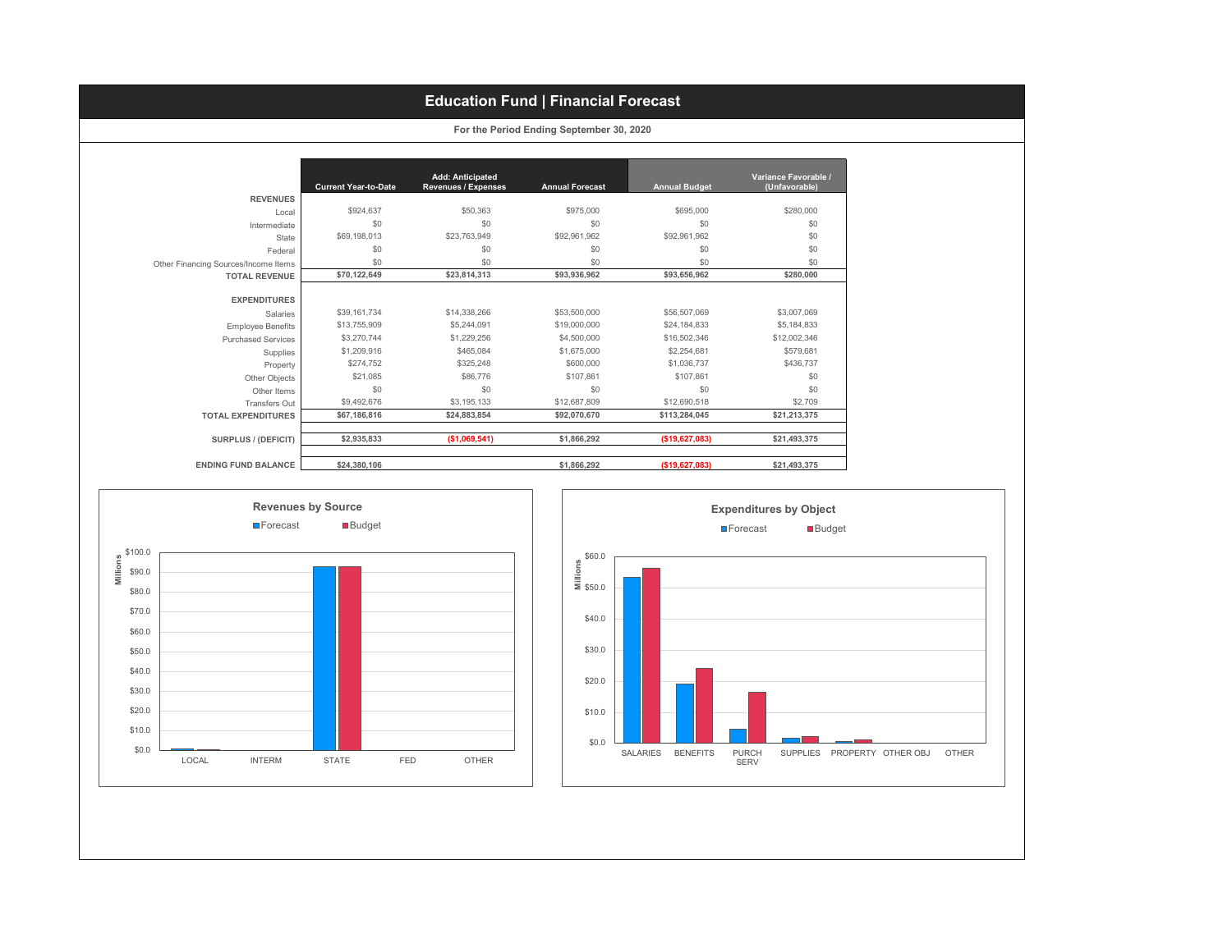# **Education Fund | Financial Forecast**

| For the Period Ending September 30, 2020 |  |  |  |  |
|------------------------------------------|--|--|--|--|
|------------------------------------------|--|--|--|--|

|                                      | <b>Current Year-to-Date</b> | <b>Add: Anticipated</b><br><b>Revenues / Expenses</b> | <b>Annual Forecast</b> | <b>Annual Budget</b> | Variance Favorable /<br>(Unfavorable) |
|--------------------------------------|-----------------------------|-------------------------------------------------------|------------------------|----------------------|---------------------------------------|
| <b>REVENUES</b>                      |                             |                                                       |                        |                      |                                       |
| Local                                | \$924.637                   | \$50,363                                              | \$975,000              | \$695,000            | \$280,000                             |
| Intermediate                         | \$0                         | \$0                                                   | \$0                    | \$0                  | \$0                                   |
| State                                | \$69,198,013                | \$23,763,949                                          | \$92,961,962           | \$92,961,962         | \$0                                   |
| Federal                              | \$0                         | \$0                                                   | \$0                    | \$0                  | \$0                                   |
| Other Financing Sources/Income Items | \$0                         | \$0                                                   | \$0                    | \$0                  | \$0                                   |
| <b>TOTAL REVENUE</b>                 | \$70,122,649                | \$23,814,313                                          | \$93,936,962           | \$93,656,962         | \$280,000                             |
|                                      |                             |                                                       |                        |                      |                                       |
| <b>EXPENDITURES</b>                  |                             |                                                       |                        |                      |                                       |
| Salaries                             | \$39,161,734                | \$14,338,266                                          | \$53,500,000           | \$56,507,069         | \$3,007,069                           |
| <b>Employee Benefits</b>             | \$13,755,909                | \$5,244,091                                           | \$19,000,000           | \$24,184,833         | \$5,184,833                           |
| <b>Purchased Services</b>            | \$3,270,744                 | \$1,229,256                                           | \$4,500,000            | \$16,502,346         | \$12,002,346                          |
| Supplies                             | \$1,209,916                 | \$465.084                                             | \$1,675,000            | \$2,254,681          | \$579.681                             |
| Property                             | \$274,752                   | \$325,248                                             | \$600,000              | \$1,036,737          | \$436,737                             |
| Other Objects                        | \$21,085                    | \$86,776                                              | \$107,861              | \$107,861            | \$0                                   |
| Other Items                          | \$0                         | \$0                                                   | \$0                    | \$0                  | \$0                                   |
| Transfers Out                        | \$9,492,676                 | \$3,195,133                                           | \$12,687,809           | \$12,690,518         | \$2,709                               |
| <b>TOTAL EXPENDITURES</b>            | \$67,186,816                | \$24,883,854                                          | \$92,070,670           | \$113,284,045        | \$21,213,375                          |
|                                      |                             |                                                       |                        |                      |                                       |
| SURPLUS / (DEFICIT)                  | \$2,935,833                 | (\$1,069,541)                                         | \$1.866.292            | (\$19,627,083)       | \$21.493.375                          |
|                                      |                             |                                                       |                        |                      |                                       |
| <b>ENDING FUND BALANCE</b>           | \$24,380,106                |                                                       | \$1,866,292            | (\$19,627,083)       | \$21.493.375                          |



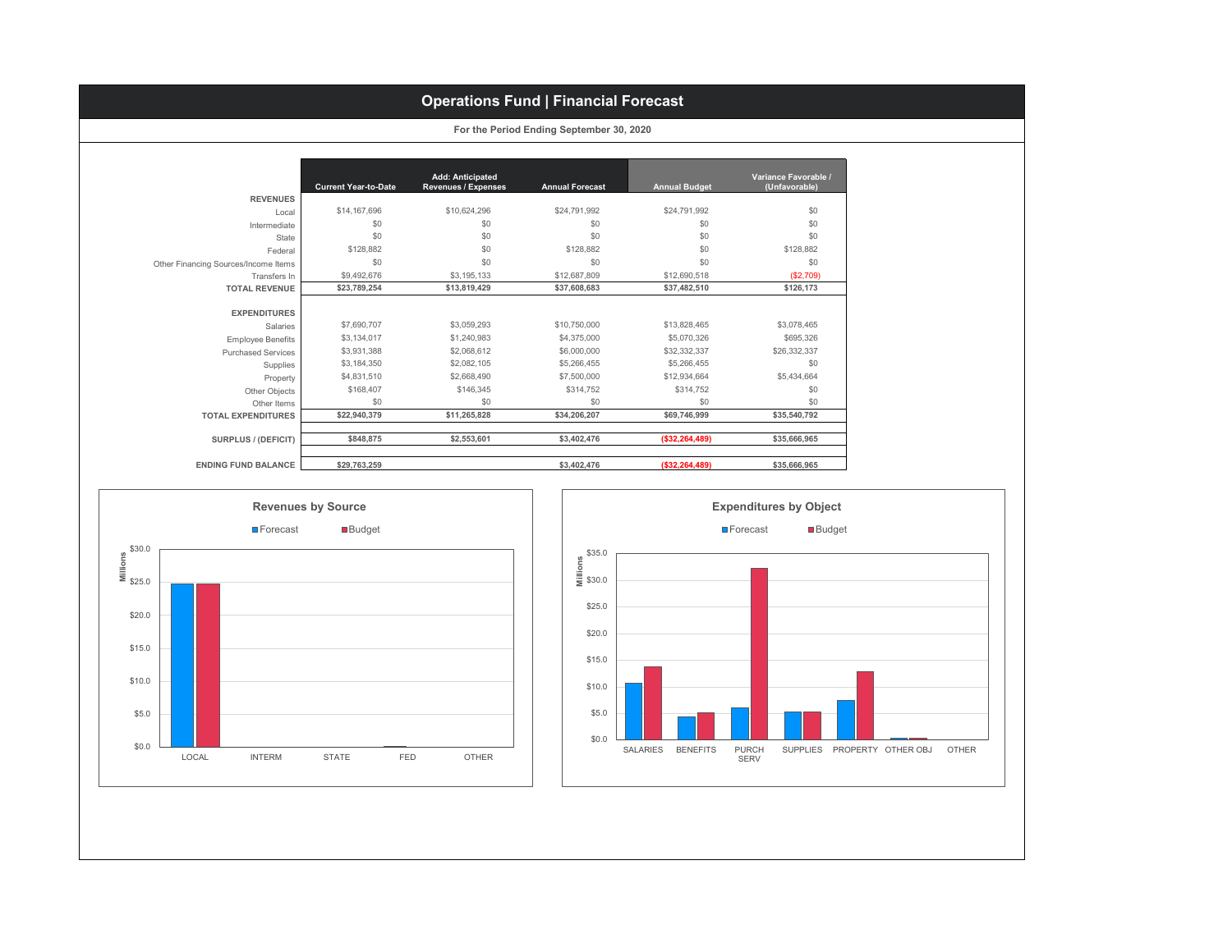# **Operations Fund | Financial Forecast**

|  |  |  | For the Period Ending September 30, 2020 |  |  |
|--|--|--|------------------------------------------|--|--|
|--|--|--|------------------------------------------|--|--|

|                                      | <b>Current Year-to-Date</b> | <b>Add: Anticipated</b><br><b>Revenues / Expenses</b> | <b>Annual Forecast</b> | <b>Annual Budget</b> | Variance Favorable /<br>(Unfavorable) |
|--------------------------------------|-----------------------------|-------------------------------------------------------|------------------------|----------------------|---------------------------------------|
| <b>REVENUES</b>                      |                             |                                                       |                        |                      |                                       |
| Local                                | \$14,167,696                | \$10,624,296                                          | \$24,791,992           | \$24,791,992         | \$0                                   |
| Intermediate                         | \$0                         | \$0                                                   | \$0                    | \$0                  | \$0                                   |
| State                                | \$0                         | \$0                                                   | \$0                    | \$0                  | \$0                                   |
| Federal                              | \$128,882                   | \$0                                                   | \$128.882              | \$0                  | \$128,882                             |
| Other Financing Sources/Income Items | \$0                         | \$0                                                   | \$0                    | \$0                  | \$0                                   |
| Transfers In                         | \$9,492,676                 | \$3,195,133                                           | \$12,687,809           | \$12,690,518         | (\$2,709)                             |
| <b>TOTAL REVENUE</b>                 | \$23,789,254                | \$13,819,429                                          | \$37,608,683           | \$37,482,510         | \$126,173                             |
| <b>EXPENDITURES</b><br>Salaries      | \$7,690,707                 | \$3,059,293                                           | \$10,750,000           | \$13,828,465         | \$3,078,465                           |
| <b>Employee Benefits</b>             | \$3,134,017                 | \$1,240,983                                           | \$4,375,000            | \$5,070,326          | \$695.326                             |
| <b>Purchased Services</b>            | \$3,931,388                 | \$2,068,612                                           | \$6,000,000            | \$32,332,337         | \$26,332,337                          |
| Supplies                             | \$3,184,350                 | \$2,082.105                                           | \$5,266,455            | \$5,266,455          | \$0                                   |
| Property                             | \$4,831,510                 | \$2,668,490                                           | \$7,500,000            | \$12,934,664         | \$5,434,664                           |
| Other Objects                        | \$168,407                   | \$146,345                                             | \$314,752              | \$314.752            | \$0                                   |
| Other Items                          | \$0                         | \$0                                                   | \$0                    | \$0                  | \$0                                   |
| <b>TOTAL EXPENDITURES</b>            | \$22,940,379                | \$11,265,828                                          | \$34,206,207           | \$69,746,999         | \$35,540,792                          |
| <b>SURPLUS / (DEFICIT)</b>           | \$848,875                   | \$2,553,601                                           | \$3,402,476            | ( \$32, 264, 489)    | \$35,666,965                          |
| <b>ENDING FUND BALANCE</b>           | \$29,763,259                |                                                       | \$3,402,476            | ( \$32, 264, 489)    | \$35,666,965                          |



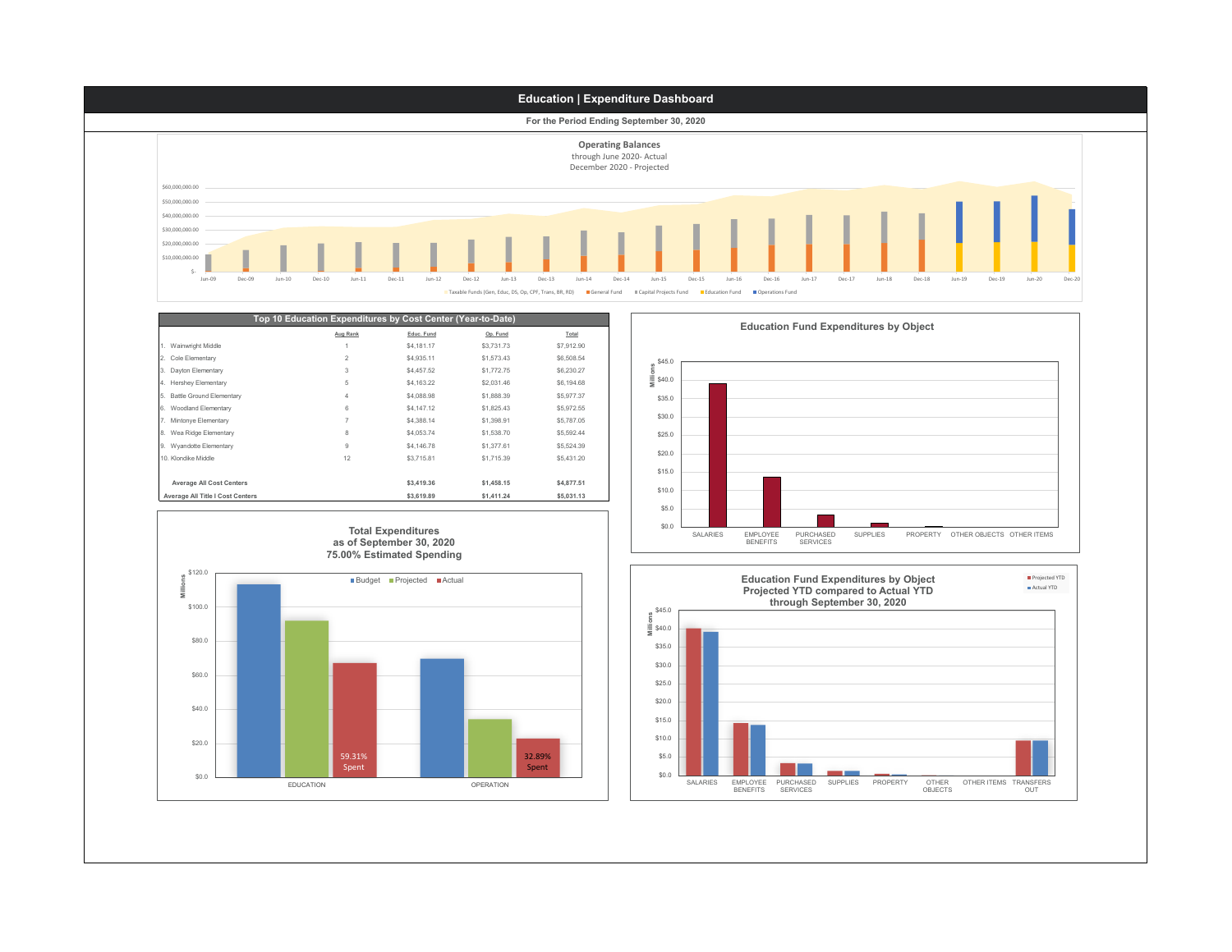

|                                  | Top 10 Education Expenditures by Cost Center (Year-to-Date) |            |            |            |
|----------------------------------|-------------------------------------------------------------|------------|------------|------------|
|                                  | Aug Rank                                                    | Educ. Fund | Op. Fund   | Total      |
| 1. Wainwright Middle             |                                                             | \$4,181.17 | \$3,731.73 | \$7,912.90 |
| 2. Cole Elementary               | $\overline{2}$                                              | \$4,935.11 | \$1,573,43 | \$6,508.54 |
| 3. Dayton Elementary             | 3                                                           | \$4,457.52 | \$1,772.75 | \$6,230.27 |
| 4. Hershey Elementary            | 5                                                           | \$4,163.22 | \$2,031.46 | \$6,194.68 |
| 5. Battle Ground Elementary      | 4                                                           | \$4,088.98 | \$1,888.39 | \$5,977.37 |
| 6. Woodland Elementary           | 6                                                           | \$4,147.12 | \$1,825.43 | \$5,972.55 |
| 7. Mintonye Elementary           | 7                                                           | \$4,388.14 | \$1,398.91 | \$5,787.05 |
| 8. Wea Ridge Elementary          | 8                                                           | \$4,053.74 | \$1,538.70 | \$5,592.44 |
| 9. Wyandotte Elementary          | 9                                                           | \$4,146.78 | \$1,377.61 | \$5,524.39 |
| 10 Klondike Middle               | 12                                                          | \$3,715.81 | \$1,715.39 | \$5,431.20 |
|                                  |                                                             |            |            |            |
| <b>Average All Cost Centers</b>  |                                                             | \$3,419.36 | \$1,458.15 | \$4,877.51 |
| Average All Title I Cost Centers |                                                             | \$3,619.89 | \$1,411.24 | \$5,031.13 |





**Education Fund Expenditures by Object**